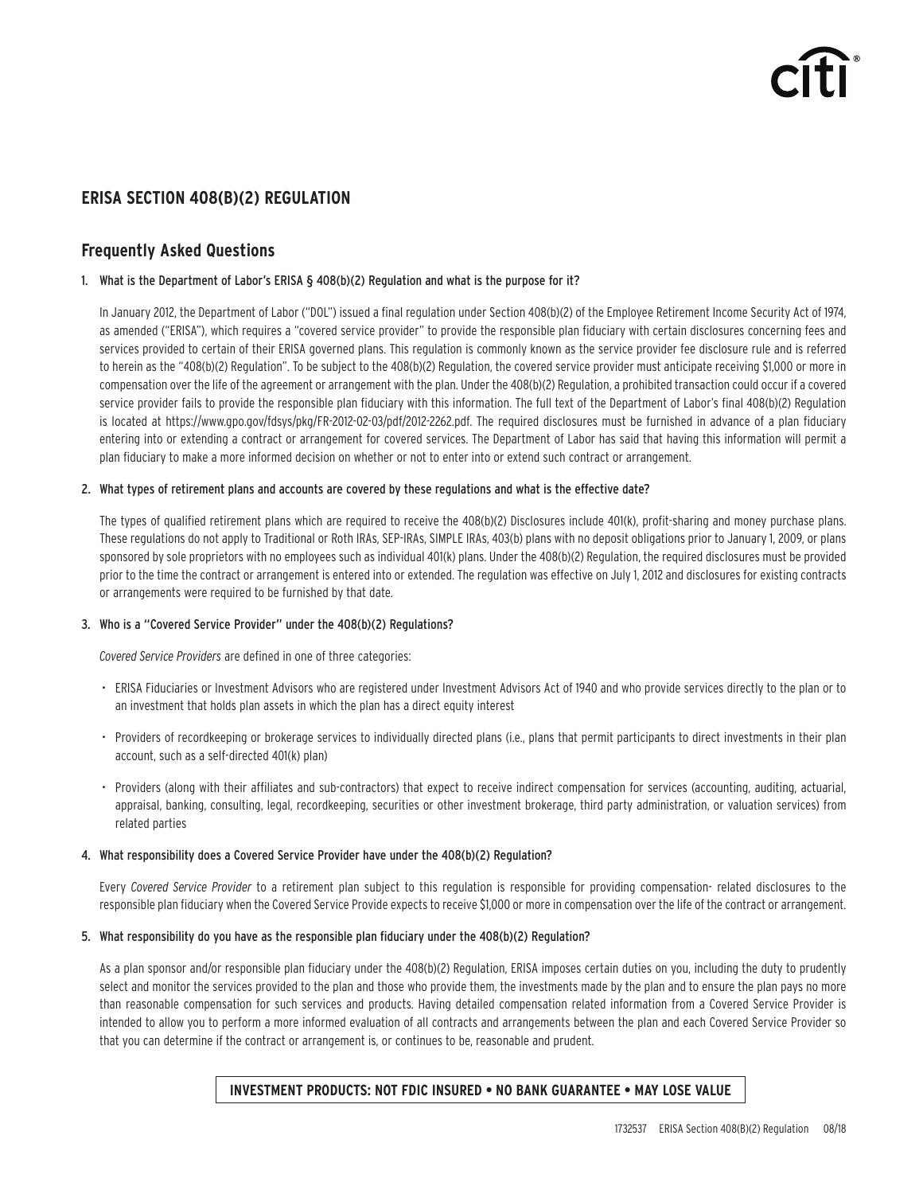# **ERISA SECTION 408(B)(2) REGULATION**

## **Frequently Asked Questions**

## 1. What is the Department of Labor's ERISA § 408(b)(2) Regulation and what is the purpose for it?

In January 2012, the Department of Labor ("DOL") issued a final regulation under Section 408(b)(2) of the Employee Retirement Income Security Act of 1974, as amended ("ERISA"), which requires a "covered service provider" to provide the responsible plan fiduciary with certain disclosures concerning fees and services provided to certain of their ERISA governed plans. This regulation is commonly known as the service provider fee disclosure rule and is referred to herein as the "408(b)(2) Regulation". To be subject to the 408(b)(2) Regulation, the covered service provider must anticipate receiving \$1,000 or more in compensation over the life of the agreement or arrangement with the plan. Under the 408(b)(2) Regulation, a prohibited transaction could occur if a covered service provider fails to provide the responsible plan fiduciary with this information. The full text of the Department of Labor's final 408(b)(2) Regulation is located at https://www.gpo.gov/fdsys/pkg/FR-2012-02-03/pdf/2012-2262.pdf. The required disclosures must be furnished in advance of a plan fiduciary entering into or extending a contract or arrangement for covered services. The Department of Labor has said that having this information will permit a plan fiduciary to make a more informed decision on whether or not to enter into or extend such contract or arrangement.

## 2. What types of retirement plans and accounts are covered by these regulations and what is the effective date?

The types of qualified retirement plans which are required to receive the 408(b)(2) Disclosures include 401(k), profit-sharing and money purchase plans. These regulations do not apply to Traditional or Roth IRAs, SEP-IRAs, SIMPLE IRAs, 403(b) plans with no deposit obligations prior to January 1, 2009, or plans sponsored by sole proprietors with no employees such as individual 401(k) plans. Under the 408(b)(2) Regulation, the required disclosures must be provided prior to the time the contract or arrangement is entered into or extended. The regulation was effective on July 1, 2012 and disclosures for existing contracts or arrangements were required to be furnished by that date.

## 3. Who is a "Covered Service Provider" under the 408(b)(2) Regulations?

*Covered Service Providers* are defined in one of three categories:

- ERISA Fiduciaries or Investment Advisors who are registered under Investment Advisors Act of 1940 and who provide services directly to the plan or to an investment that holds plan assets in which the plan has a direct equity interest
- Providers of recordkeeping or brokerage services to individually directed plans (i.e., plans that permit participants to direct investments in their plan account, such as a self-directed 401(k) plan)
- Providers (along with their affiliates and sub-contractors) that expect to receive indirect compensation for services (accounting, auditing, actuarial, appraisal, banking, consulting, legal, recordkeeping, securities or other investment brokerage, third party administration, or valuation services) from related parties

## 4. What responsibility does a Covered Service Provider have under the 408(b)(2) Regulation?

Every *Covered Service Provider* to a retirement plan subject to this regulation is responsible for providing compensation- related disclosures to the responsible plan fiduciary when the Covered Service Provide expects to receive \$1,000 or more in compensation over the life of the contract or arrangement.

## 5. What responsibility do you have as the responsible plan fiduciary under the 408(b)(2) Regulation?

As a plan sponsor and/or responsible plan fiduciary under the 408(b)(2) Regulation, ERISA imposes certain duties on you, including the duty to prudently select and monitor the services provided to the plan and those who provide them, the investments made by the plan and to ensure the plan pays no more than reasonable compensation for such services and products. Having detailed compensation related information from a Covered Service Provider is intended to allow you to perform a more informed evaluation of all contracts and arrangements between the plan and each Covered Service Provider so that you can determine if the contract or arrangement is, or continues to be, reasonable and prudent.

## **INVESTMENT PRODUCTS: NOT FDIC INSURED • NO BANK GUARANTEE • MAY LOSE VALUE**